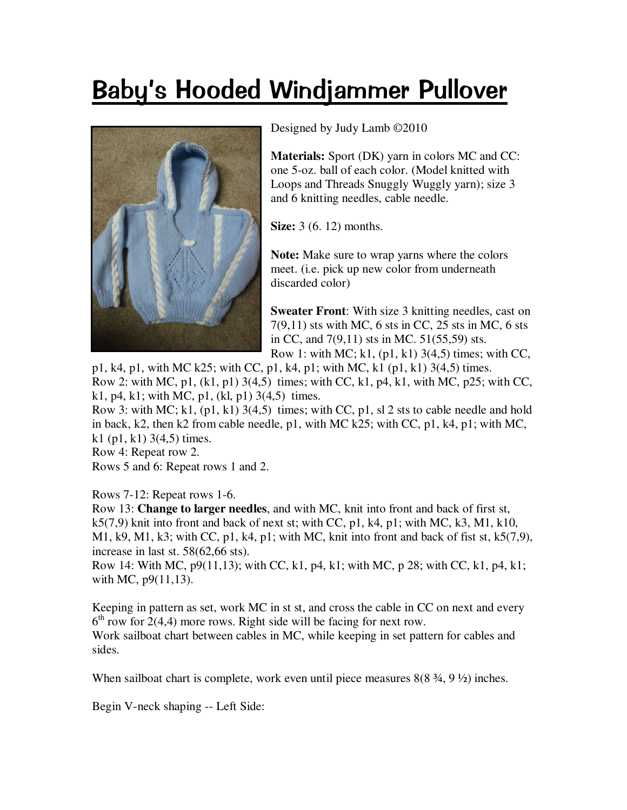## Baby's Hooded Windjammer Pullover



Designed by Judy Lamb ©2010

**Materials:** Sport (DK) yarn in colors MC and CC: one 5-oz. ball of each color. (Model knitted with Loops and Threads Snuggly Wuggly yarn); size 3 and 6 knitting needles, cable needle.

**Size:** 3 (6, 12) months.

**Note:** Make sure to wrap yarns where the colors meet. (i.e. pick up new color from underneath discarded color)

**Sweater Front:** With size 3 knitting needles, cast on 7(9,11) sts with MC, 6 sts in CC, 25 sts in MC, 6 sts in CC, and 7(9,11) sts in MC. 51(55,59) sts.

Row 1: with MC; k1,  $(p1, k1)$  3(4,5) times; with CC, p1, k4, p1, with MC k25; with CC, p1, k4, p1; with MC, k1 (p1, k1) 3(4,5) times. Row 2: with MC,  $p1$ ,  $(k1, p1)$  3(4,5) times; with CC,  $k1$ ,  $p4$ ,  $k1$ , with MC,  $p25$ ; with CC, k1, p4, k1; with MC, p1, (kl, p1)  $3(4,5)$  times.

Row 3: with MC; k1,  $(p1, k1)$  3(4,5) times; with CC, p1, sl 2 sts to cable needle and hold in back, k2, then k2 from cable needle, p1, with MC k25; with CC, p1, k4, p1; with MC, k1 (p1, k1)  $3(4,5)$  times.

Row 4: Repeat row 2.

Rows 5 and 6: Repeat rows 1 and 2.

Rows 7-12: Repeat rows 1-6.

Row 13: **Change to larger needles**, and with MC, knit into front and back of first st,  $k5(7,9)$  knit into front and back of next st; with CC, p1, k4, p1; with MC, k3, M1, k10, M1, k9, M1, k3; with CC, p1, k4, p1; with MC, knit into front and back of fist st,  $k5(7,9)$ , increase in last st. 58(62,66 sts).

Row 14: With MC,  $p9(11,13)$ ; with CC, k1, p4, k1; with MC, p 28; with CC, k1, p4, k1; with MC,  $p9(11,13)$ .

Keeping in pattern as set, work MC in st st, and cross the cable in CC on next and every  $6<sup>th</sup>$  row for 2(4,4) more rows. Right side will be facing for next row. Work sailboat chart between cables in MC, while keeping in set pattern for cables and sides.

When sailboat chart is complete, work even until piece measures  $8(8, 3/4, 9, 1/2)$  inches.

Begin V-neck shaping -- Left Side: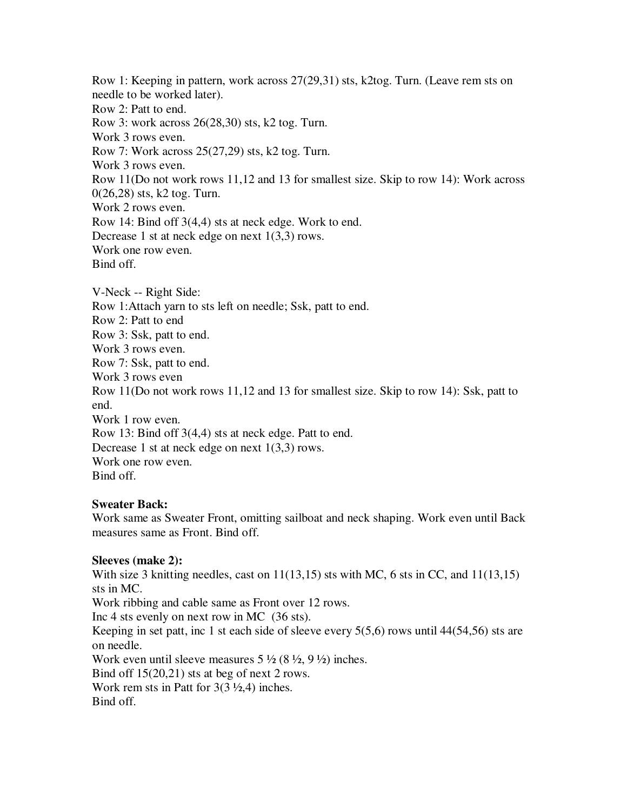Row 1: Keeping in pattern, work across 27(29,31) sts, k2tog. Turn. (Leave rem sts on needle to be worked later). Row 2: Patt to end. Row 3: work across 26(28,30) sts, k2 tog. Turn. Work 3 rows even. Row 7: Work across 25(27,29) sts, k2 tog. Turn. Work 3 rows even. Row 11(Do not work rows 11,12 and 13 for smallest size. Skip to row 14): Work across 0(26,28) sts, k2 tog. Turn. Work 2 rows even. Row 14: Bind off 3(4,4) sts at neck edge. Work to end. Decrease 1 st at neck edge on next 1(3,3) rows. Work one row even. Bind off. V-Neck -- Right Side: Row 1:Attach yarn to sts left on needle; Ssk, patt to end. Row 2: Patt to end Row 3: Ssk, patt to end. Work 3 rows even. Row 7: Ssk, patt to end.

Work 3 rows even

Row 11(Do not work rows 11,12 and 13 for smallest size. Skip to row 14): Ssk, patt to end.

Work 1 row even.

Row 13: Bind off 3(4,4) sts at neck edge. Patt to end.

Decrease 1 st at neck edge on next 1(3,3) rows.

Work one row even.

Bind off.

## **Sweater Back:**

Work same as Sweater Front, omitting sailboat and neck shaping. Work even until Back measures same as Front. Bind off.

## **Sleeves (make 2):**

With size 3 knitting needles, cast on  $11(13,15)$  sts with MC, 6 sts in CC, and  $11(13,15)$ sts in MC. Work ribbing and cable same as Front over 12 rows. Inc 4 sts evenly on next row in MC (36 sts). Keeping in set patt, inc 1 st each side of sleeve every 5(5,6) rows until 44(54,56) sts are on needle. Work even until sleeve measures  $5\frac{1}{2}$  (8 $\frac{1}{2}$ , 9 $\frac{1}{2}$ ) inches. Bind off 15(20,21) sts at beg of next 2 rows. Work rem sts in Patt for  $3(3\frac{1}{2}, 4)$  inches. Bind off.